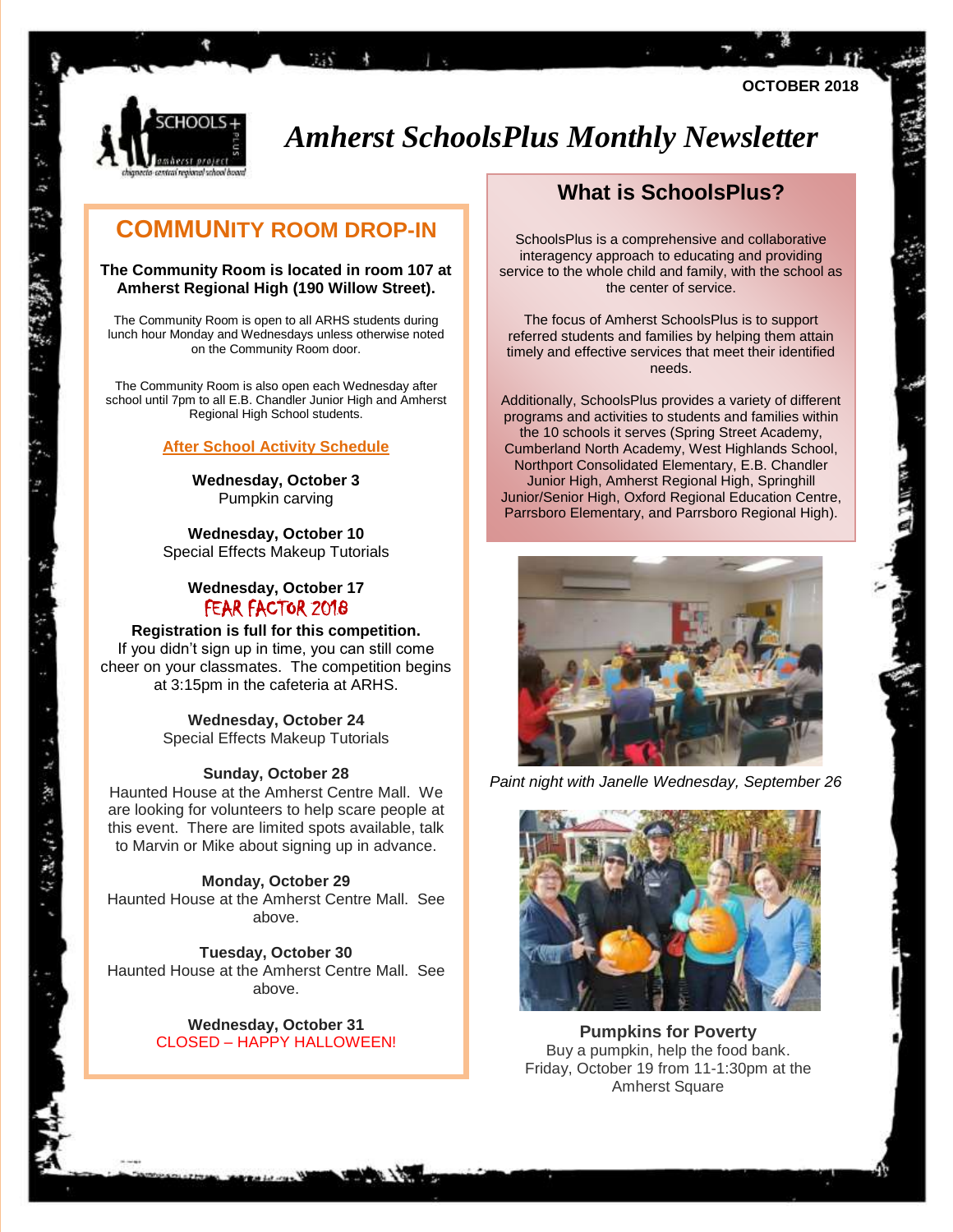

# *Amherst SchoolsPlus Monthly Newsletter*

### **COMMUNITY ROOM DROP-IN**

 $7.55 + 10$ 

#### **The Community Room is located in room 107 at Amherst Regional High (190 Willow Street).**

The Community Room is open to all ARHS students during lunch hour Monday and Wednesdays unless otherwise noted on the Community Room door.

The Community Room is also open each Wednesday after school until 7pm to all E.B. Chandler Junior High and Amherst Regional High School students.

#### **After School Activity Schedule**

**Wednesday, October 3** Pumpkin carving

**Wednesday, October 10** Special Effects Makeup Tutorials

#### **Wednesday, October 17**  FEAR FACTOR 2018

#### **Registration is full for this competition.**

If you didn't sign up in time, you can still come cheer on your classmates. The competition begins at 3:15pm in the cafeteria at ARHS.

> **Wednesday, October 24** Special Effects Makeup Tutorials

#### **Sunday, October 28**

 $\mathbf{y} = \mathbf{y}$ 

Haunted House at the Amherst Centre Mall. We are looking for volunteers to help scare people at this event. There are limited spots available, talk to Marvin or Mike about signing up in advance.

**Monday, October 29** Haunted House at the Amherst Centre Mall. See above.

**Tuesday, October 30** Haunted House at the Amherst Centre Mall. See above.

#### **Wednesday, October 31** CLOSED – HAPPY HALLOWEEN!

### **What is SchoolsPlus?**

**OCTOBER 2018**

SchoolsPlus is a comprehensive and collaborative interagency approach to educating and providing service to the whole child and family, with the school as the center of service.

The focus of Amherst SchoolsPlus is to support referred students and families by helping them attain timely and effective services that meet their identified needs.

Additionally, SchoolsPlus provides a variety of different programs and activities to students and families within the 10 schools it serves (Spring Street Academy, Cumberland North Academy, West Highlands School, Northport Consolidated Elementary, E.B. Chandler Junior High, Amherst Regional High, Springhill Junior/Senior High, Oxford Regional Education Centre, Parrsboro Elementary, and Parrsboro Regional High).



*Paint night with Janelle Wednesday, September 26*



**Pumpkins for Poverty** Buy a pumpkin, help the food bank. Friday, October 19 from 11-1:30pm at the Amherst Square